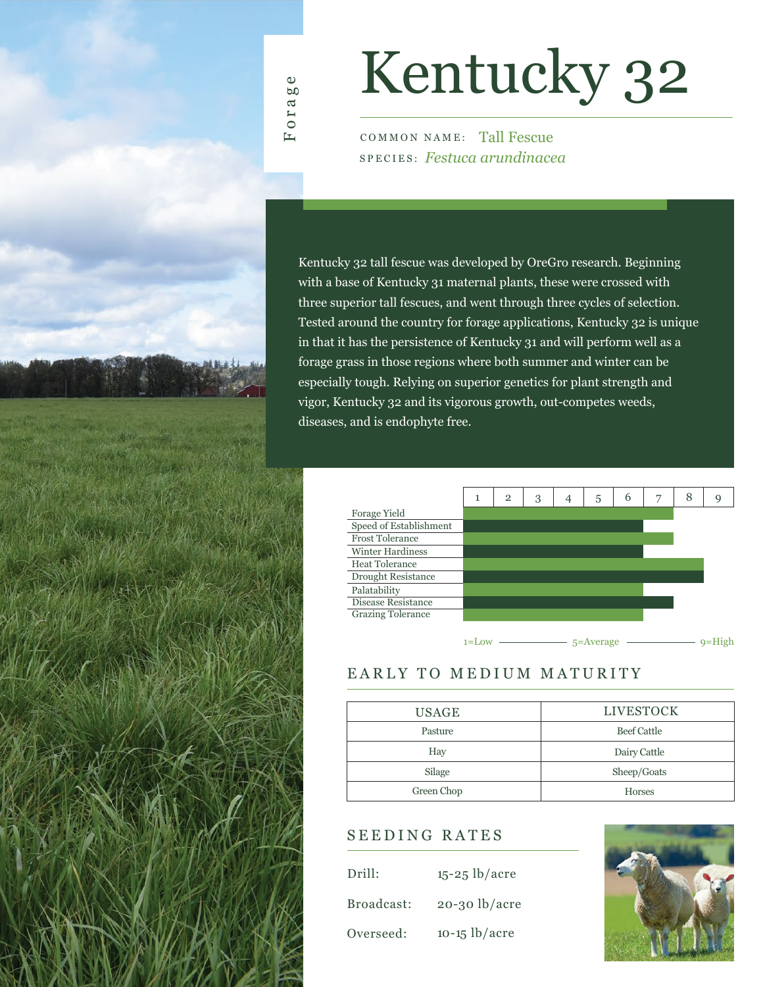

Forage

# Kentucky 32

COMMON NAME: Tall Fescue SPECIES: *Festuca arundinacea*

Kentucky 32 tall fescue was developed by OreGro research. Beginning with a base of Kentucky 31 maternal plants, these were crossed with three superior tall fescues, and went through three cycles of selection. Tested around the country for forage applications, Kentucky 32 is unique in that it has the persistence of Kentucky 31 and will perform well as a forage grass in those regions where both summer and winter can be especially tough. Relying on superior genetics for plant strength and vigor, Kentucky 32 and its vigorous growth, out-competes weeds, diseases, and is endophyte free.



### EARLY TO MEDIUM MATURITY

| <b>USAGE</b> | <b>LIVESTOCK</b>   |  |  |  |  |  |
|--------------|--------------------|--|--|--|--|--|
| Pasture      | <b>Beef Cattle</b> |  |  |  |  |  |
| Hay          | Dairy Cattle       |  |  |  |  |  |
| Silage       | Sheep/Goats        |  |  |  |  |  |
| Green Chop   | <b>Horses</b>      |  |  |  |  |  |

### SEEDING RATES

| Drill:     | $15 - 25$ lb/acre |
|------------|-------------------|
| Broadcast: | $20-30$ lb/acre   |
| Overseed:  | $10-15$ lb/acre   |